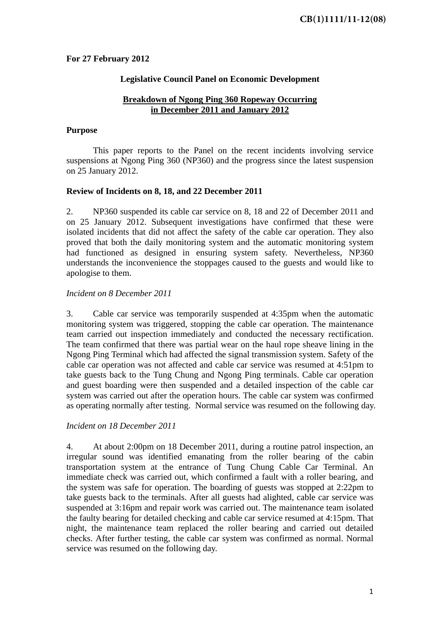## **For 27 February 2012**

## **Legislative Council Panel on Economic Development**

## **Breakdown of Ngong Ping 360 Ropeway Occurring in December 2011 and January 2012**

#### **Purpose**

This paper reports to the Panel on the recent incidents involving service suspensions at Ngong Ping 360 (NP360) and the progress since the latest suspension on 25 January 2012.

## **Review of Incidents on 8, 18, and 22 December 2011**

2. NP360 suspended its cable car service on 8, 18 and 22 of December 2011 and on 25 January 2012. Subsequent investigations have confirmed that these were isolated incidents that did not affect the safety of the cable car operation. They also proved that both the daily monitoring system and the automatic monitoring system had functioned as designed in ensuring system safety. Nevertheless, NP360 understands the inconvenience the stoppages caused to the guests and would like to apologise to them.

## *Incident on 8 December 2011*

3. Cable car service was temporarily suspended at 4:35pm when the automatic monitoring system was triggered, stopping the cable car operation. The maintenance team carried out inspection immediately and conducted the necessary rectification. The team confirmed that there was partial wear on the haul rope sheave lining in the Ngong Ping Terminal which had affected the signal transmission system. Safety of the cable car operation was not affected and cable car service was resumed at 4:51pm to take guests back to the Tung Chung and Ngong Ping terminals. Cable car operation and guest boarding were then suspended and a detailed inspection of the cable car system was carried out after the operation hours. The cable car system was confirmed as operating normally after testing. Normal service was resumed on the following day.

## *Incident on 18 December 2011*

4. At about 2:00pm on 18 December 2011, during a routine patrol inspection, an irregular sound was identified emanating from the roller bearing of the cabin transportation system at the entrance of Tung Chung Cable Car Terminal. An immediate check was carried out, which confirmed a fault with a roller bearing, and the system was safe for operation. The boarding of guests was stopped at 2:22pm to take guests back to the terminals. After all guests had alighted, cable car service was suspended at 3:16pm and repair work was carried out. The maintenance team isolated the faulty bearing for detailed checking and cable car service resumed at 4:15pm. That night, the maintenance team replaced the roller bearing and carried out detailed checks. After further testing, the cable car system was confirmed as normal. Normal service was resumed on the following day.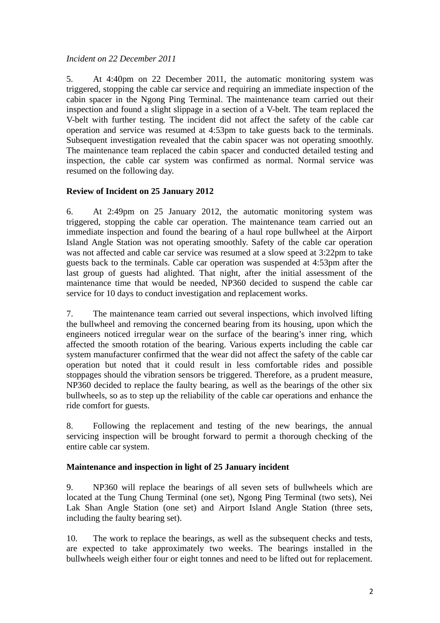## *Incident on 22 December 2011*

5. At 4:40pm on 22 December 2011, the automatic monitoring system was triggered, stopping the cable car service and requiring an immediate inspection of the cabin spacer in the Ngong Ping Terminal. The maintenance team carried out their inspection and found a slight slippage in a section of a V-belt. The team replaced the V-belt with further testing. The incident did not affect the safety of the cable car operation and service was resumed at 4:53pm to take guests back to the terminals. Subsequent investigation revealed that the cabin spacer was not operating smoothly. The maintenance team replaced the cabin spacer and conducted detailed testing and inspection, the cable car system was confirmed as normal. Normal service was resumed on the following day.

## **Review of Incident on 25 January 2012**

6. At 2:49pm on 25 January 2012, the automatic monitoring system was triggered, stopping the cable car operation. The maintenance team carried out an immediate inspection and found the bearing of a haul rope bullwheel at the Airport Island Angle Station was not operating smoothly. Safety of the cable car operation was not affected and cable car service was resumed at a slow speed at 3:22pm to take guests back to the terminals. Cable car operation was suspended at 4:53pm after the last group of guests had alighted. That night, after the initial assessment of the maintenance time that would be needed, NP360 decided to suspend the cable car service for 10 days to conduct investigation and replacement works.

7. The maintenance team carried out several inspections, which involved lifting the bullwheel and removing the concerned bearing from its housing, upon which the engineers noticed irregular wear on the surface of the bearing's inner ring, which affected the smooth rotation of the bearing. Various experts including the cable car system manufacturer confirmed that the wear did not affect the safety of the cable car operation but noted that it could result in less comfortable rides and possible stoppages should the vibration sensors be triggered. Therefore, as a prudent measure, NP360 decided to replace the faulty bearing, as well as the bearings of the other six bullwheels, so as to step up the reliability of the cable car operations and enhance the ride comfort for guests.

8. Following the replacement and testing of the new bearings, the annual servicing inspection will be brought forward to permit a thorough checking of the entire cable car system.

## **Maintenance and inspection in light of 25 January incident**

9. NP360 will replace the bearings of all seven sets of bullwheels which are located at the Tung Chung Terminal (one set), Ngong Ping Terminal (two sets), Nei Lak Shan Angle Station (one set) and Airport Island Angle Station (three sets, including the faulty bearing set).

10. The work to replace the bearings, as well as the subsequent checks and tests, are expected to take approximately two weeks. The bearings installed in the bullwheels weigh either four or eight tonnes and need to be lifted out for replacement.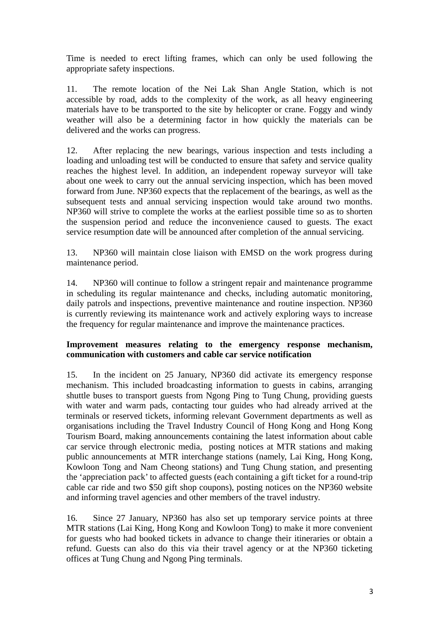Time is needed to erect lifting frames, which can only be used following the appropriate safety inspections.

11. The remote location of the Nei Lak Shan Angle Station, which is not accessible by road, adds to the complexity of the work, as all heavy engineering materials have to be transported to the site by helicopter or crane. Foggy and windy weather will also be a determining factor in how quickly the materials can be delivered and the works can progress.

12. After replacing the new bearings, various inspection and tests including a loading and unloading test will be conducted to ensure that safety and service quality reaches the highest level. In addition, an independent ropeway surveyor will take about one week to carry out the annual servicing inspection, which has been moved forward from June. NP360 expects that the replacement of the bearings, as well as the subsequent tests and annual servicing inspection would take around two months. NP360 will strive to complete the works at the earliest possible time so as to shorten the suspension period and reduce the inconvenience caused to guests. The exact service resumption date will be announced after completion of the annual servicing.

13. NP360 will maintain close liaison with EMSD on the work progress during maintenance period.

14. NP360 will continue to follow a stringent repair and maintenance programme in scheduling its regular maintenance and checks, including automatic monitoring, daily patrols and inspections, preventive maintenance and routine inspection. NP360 is currently reviewing its maintenance work and actively exploring ways to increase the frequency for regular maintenance and improve the maintenance practices.

## **Improvement measures relating to the emergency response mechanism, communication with customers and cable car service notification**

15. In the incident on 25 January, NP360 did activate its emergency response mechanism. This included broadcasting information to guests in cabins, arranging shuttle buses to transport guests from Ngong Ping to Tung Chung, providing guests with water and warm pads, contacting tour guides who had already arrived at the terminals or reserved tickets, informing relevant Government departments as well as organisations including the Travel Industry Council of Hong Kong and Hong Kong Tourism Board, making announcements containing the latest information about cable car service through electronic media, posting notices at MTR stations and making public announcements at MTR interchange stations (namely, Lai King, Hong Kong, Kowloon Tong and Nam Cheong stations) and Tung Chung station, and presenting the 'appreciation pack' to affected guests (each containing a gift ticket for a round-trip cable car ride and two \$50 gift shop coupons), posting notices on the NP360 website and informing travel agencies and other members of the travel industry.

16. Since 27 January, NP360 has also set up temporary service points at three MTR stations (Lai King, Hong Kong and Kowloon Tong) to make it more convenient for guests who had booked tickets in advance to change their itineraries or obtain a refund. Guests can also do this via their travel agency or at the NP360 ticketing offices at Tung Chung and Ngong Ping terminals.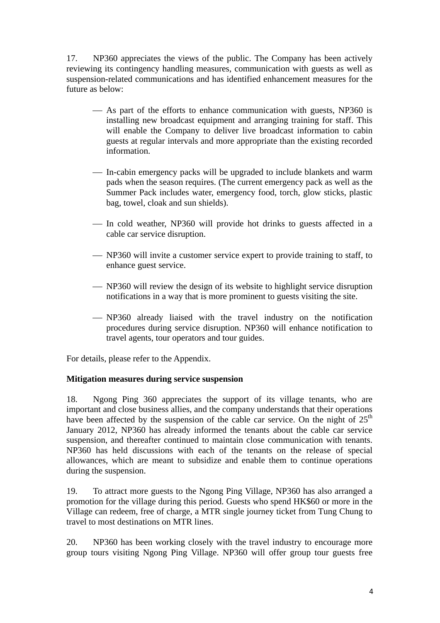17. NP360 appreciates the views of the public. The Company has been actively reviewing its contingency handling measures, communication with guests as well as suspension-related communications and has identified enhancement measures for the future as below:

- As part of the efforts to enhance communication with guests, NP360 is installing new broadcast equipment and arranging training for staff. This will enable the Company to deliver live broadcast information to cabin guests at regular intervals and more appropriate than the existing recorded information.
- In-cabin emergency packs will be upgraded to include blankets and warm pads when the season requires. (The current emergency pack as well as the Summer Pack includes water, emergency food, torch, glow sticks, plastic bag, towel, cloak and sun shields).
- In cold weather, NP360 will provide hot drinks to guests affected in a cable car service disruption.
- NP360 will invite a customer service expert to provide training to staff, to enhance guest service.
- NP360 will review the design of its website to highlight service disruption notifications in a way that is more prominent to guests visiting the site.
- NP360 already liaised with the travel industry on the notification procedures during service disruption. NP360 will enhance notification to travel agents, tour operators and tour guides.

For details, please refer to the Appendix.

## **Mitigation measures during service suspension**

18. Ngong Ping 360 appreciates the support of its village tenants, who are important and close business allies, and the company understands that their operations have been affected by the suspension of the cable car service. On the night of  $25<sup>th</sup>$ January 2012, NP360 has already informed the tenants about the cable car service suspension, and thereafter continued to maintain close communication with tenants. NP360 has held discussions with each of the tenants on the release of special allowances, which are meant to subsidize and enable them to continue operations during the suspension.

19. To attract more guests to the Ngong Ping Village, NP360 has also arranged a promotion for the village during this period. Guests who spend HK\$60 or more in the Village can redeem, free of charge, a MTR single journey ticket from Tung Chung to travel to most destinations on MTR lines.

20. NP360 has been working closely with the travel industry to encourage more group tours visiting Ngong Ping Village. NP360 will offer group tour guests free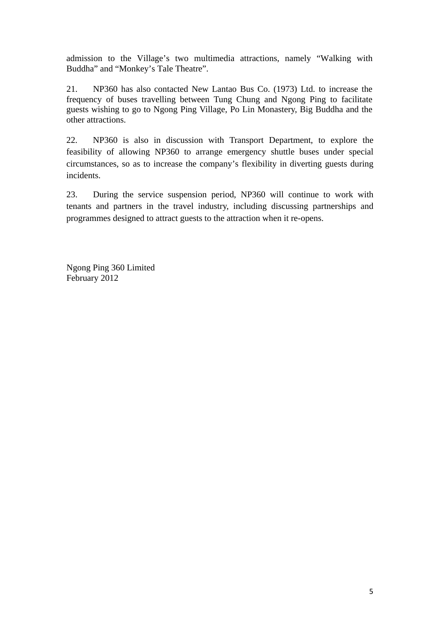admission to the Village's two multimedia attractions, namely "Walking with Buddha" and "Monkey's Tale Theatre".

21. NP360 has also contacted New Lantao Bus Co. (1973) Ltd. to increase the frequency of buses travelling between Tung Chung and Ngong Ping to facilitate guests wishing to go to Ngong Ping Village, Po Lin Monastery, Big Buddha and the other attractions.

22. NP360 is also in discussion with Transport Department, to explore the feasibility of allowing NP360 to arrange emergency shuttle buses under special circumstances, so as to increase the company's flexibility in diverting guests during incidents.

23. During the service suspension period, NP360 will continue to work with tenants and partners in the travel industry, including discussing partnerships and programmes designed to attract guests to the attraction when it re-opens.

Ngong Ping 360 Limited February 2012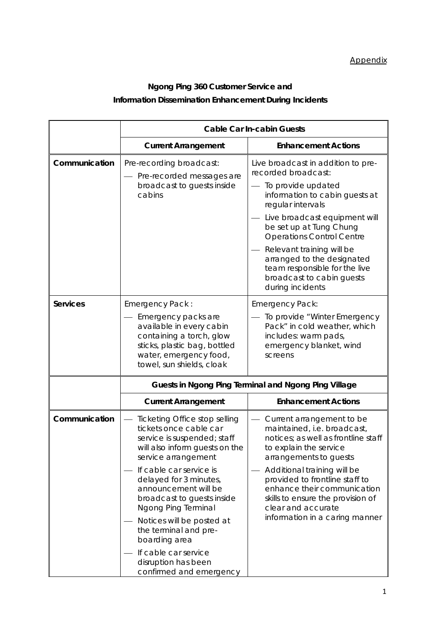# **Ngong Ping 360 Customer Service and Information Dissemination Enhancement During Incidents**

|                                                                                                                                                                                                                                                                                                                                                                           | <b>Cable Car In-cabin Guests</b>                                                                                                                                                                                                                                                                               |                                                                                                                                               |
|---------------------------------------------------------------------------------------------------------------------------------------------------------------------------------------------------------------------------------------------------------------------------------------------------------------------------------------------------------------------------|----------------------------------------------------------------------------------------------------------------------------------------------------------------------------------------------------------------------------------------------------------------------------------------------------------------|-----------------------------------------------------------------------------------------------------------------------------------------------|
|                                                                                                                                                                                                                                                                                                                                                                           | <b>Current Arrangement</b>                                                                                                                                                                                                                                                                                     | <b>Enhancement Actions</b>                                                                                                                    |
| Communication                                                                                                                                                                                                                                                                                                                                                             | Pre-recording broadcast:<br>Pre-recorded messages are                                                                                                                                                                                                                                                          | Live broadcast in addition to pre-<br>recorded broadcast:                                                                                     |
|                                                                                                                                                                                                                                                                                                                                                                           | broadcast to guests inside<br>cabins                                                                                                                                                                                                                                                                           | To provide updated<br>information to cabin guests at<br>regular intervals                                                                     |
|                                                                                                                                                                                                                                                                                                                                                                           |                                                                                                                                                                                                                                                                                                                | Live broadcast equipment will<br>be set up at Tung Chung<br><b>Operations Control Centre</b>                                                  |
|                                                                                                                                                                                                                                                                                                                                                                           |                                                                                                                                                                                                                                                                                                                | Relevant training will be<br>arranged to the designated<br>team responsible for the live<br>broadcast to cabin guests<br>during incidents     |
| <b>Services</b>                                                                                                                                                                                                                                                                                                                                                           | Emergency Pack:<br>Emergency packs are<br>available in every cabin<br>containing a torch, glow<br>sticks, plastic bag, bottled<br>water, emergency food,<br>towel, sun shields, cloak                                                                                                                          | Emergency Pack:<br>To provide "Winter Emergency<br>Pack" in cold weather, which<br>includes: warm pads,<br>emergency blanket, wind<br>screens |
|                                                                                                                                                                                                                                                                                                                                                                           | Guests in Ngong Ping Terminal and Ngong Ping Village                                                                                                                                                                                                                                                           |                                                                                                                                               |
|                                                                                                                                                                                                                                                                                                                                                                           | <b>Current Arrangement</b>                                                                                                                                                                                                                                                                                     | <b>Enhancement Actions</b>                                                                                                                    |
| Communication<br>Ticketing Office stop selling<br>tickets once cable car<br>service is suspended; staff<br>will also inform guests on the<br>service arrangement<br>If cable car service is<br>delayed for 3 minutes,<br>announcement will be<br>broadcast to guests inside<br>Ngong Ping Terminal<br>Notices will be posted at<br>the terminal and pre-<br>boarding area | Current arrangement to be<br>maintained, i.e. broadcast,<br>notices; as well as frontline staff<br>to explain the service<br>arrangements to guests<br>Additional training will be<br>provided to frontline staff to<br>enhance their communication<br>skills to ensure the provision of<br>clear and accurate |                                                                                                                                               |
|                                                                                                                                                                                                                                                                                                                                                                           |                                                                                                                                                                                                                                                                                                                | information in a caring manner                                                                                                                |
|                                                                                                                                                                                                                                                                                                                                                                           | If cable car service<br>disruption has been<br>confirmed and emergency                                                                                                                                                                                                                                         |                                                                                                                                               |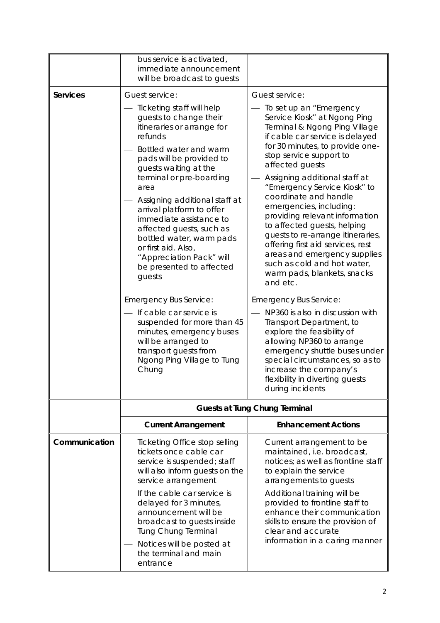|                 | bus service is activated,<br>immediate announcement<br>will be broadcast to guests                                                                                                                                                                                                                                                                                                                                                                                                                                                                                                                                                                                     |                                                                                                                                                                                                                                                                                                                                                                                                                                                                                                                                                                                                                                                                                                                                                                                                                                                                                                          |
|-----------------|------------------------------------------------------------------------------------------------------------------------------------------------------------------------------------------------------------------------------------------------------------------------------------------------------------------------------------------------------------------------------------------------------------------------------------------------------------------------------------------------------------------------------------------------------------------------------------------------------------------------------------------------------------------------|----------------------------------------------------------------------------------------------------------------------------------------------------------------------------------------------------------------------------------------------------------------------------------------------------------------------------------------------------------------------------------------------------------------------------------------------------------------------------------------------------------------------------------------------------------------------------------------------------------------------------------------------------------------------------------------------------------------------------------------------------------------------------------------------------------------------------------------------------------------------------------------------------------|
| <b>Services</b> | Guest service:                                                                                                                                                                                                                                                                                                                                                                                                                                                                                                                                                                                                                                                         | Guest service:                                                                                                                                                                                                                                                                                                                                                                                                                                                                                                                                                                                                                                                                                                                                                                                                                                                                                           |
|                 | Ticketing staff will help<br>guests to change their<br>itineraries or arrange for<br>refunds<br>Bottled water and warm<br>pads will be provided to<br>guests waiting at the<br>terminal or pre-boarding<br>area<br>Assigning additional staff at<br>arrival platform to offer<br>immediate assistance to<br>affected guests, such as<br>bottled water, warm pads<br>or first aid. Also,<br>"Appreciation Pack" will<br>be presented to affected<br>guests<br><b>Emergency Bus Service:</b><br>If cable car service is<br>suspended for more than 45<br>minutes, emergency buses<br>will be arranged to<br>transport guests from<br>Ngong Ping Village to Tung<br>Chung | To set up an "Emergency"<br>Service Kiosk" at Ngong Ping<br>Terminal & Ngong Ping Village<br>if cable car service is delayed<br>for 30 minutes, to provide one-<br>stop service support to<br>affected guests<br>Assigning additional staff at<br>"Emergency Service Kiosk" to<br>coordinate and handle<br>emergencies, including:<br>providing relevant information<br>to affected guests, helping<br>guests to re-arrange itineraries,<br>offering first aid services, rest<br>areas and emergency supplies<br>such as cold and hot water,<br>warm pads, blankets, snacks<br>and etc.<br><b>Emergency Bus Service:</b><br>NP360 is also in discussion with<br>Transport Department, to<br>explore the feasibility of<br>allowing NP360 to arrange<br>emergency shuttle buses under<br>special circumstances, so as to<br>increase the company's<br>flexibility in diverting guests<br>during incidents |
|                 |                                                                                                                                                                                                                                                                                                                                                                                                                                                                                                                                                                                                                                                                        | <b>Guests at Tung Chung Terminal</b>                                                                                                                                                                                                                                                                                                                                                                                                                                                                                                                                                                                                                                                                                                                                                                                                                                                                     |
|                 | <b>Current Arrangement</b>                                                                                                                                                                                                                                                                                                                                                                                                                                                                                                                                                                                                                                             | <b>Enhancement Actions</b>                                                                                                                                                                                                                                                                                                                                                                                                                                                                                                                                                                                                                                                                                                                                                                                                                                                                               |
|                 |                                                                                                                                                                                                                                                                                                                                                                                                                                                                                                                                                                                                                                                                        |                                                                                                                                                                                                                                                                                                                                                                                                                                                                                                                                                                                                                                                                                                                                                                                                                                                                                                          |
| Communication   | Ticketing Office stop selling<br>tickets once cable car<br>service is suspended; staff<br>will also inform guests on the<br>service arrangement<br>If the cable car service is<br>delayed for 3 minutes,<br>announcement will be<br>broadcast to guests inside<br><b>Tung Chung Terminal</b><br>Notices will be posted at<br>the terminal and main<br>entrance                                                                                                                                                                                                                                                                                                         | Current arrangement to be<br>maintained, i.e. broadcast,<br>notices; as well as frontline staff<br>to explain the service<br>arrangements to guests<br>Additional training will be<br>provided to frontline staff to<br>enhance their communication<br>skills to ensure the provision of<br>clear and accurate<br>information in a caring manner                                                                                                                                                                                                                                                                                                                                                                                                                                                                                                                                                         |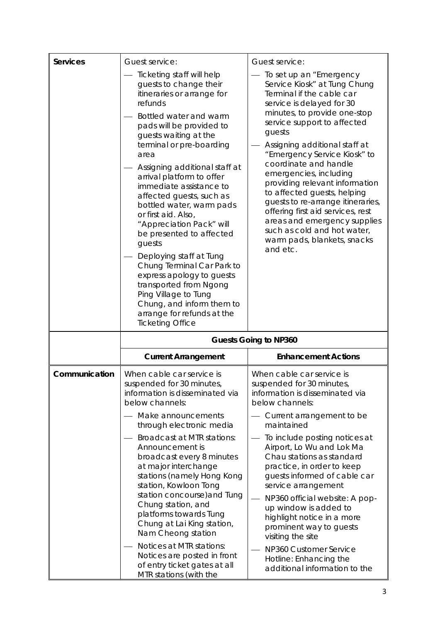| <b>Services</b> | Guest service:                                                                                                                                                                                                                                                                                                                                                                                                                                                                                                                                                                                                                                                                          | Guest service:                                                                                                                                                                                                                                                                                                                                                                                                                                                                                                                                                         |  |
|-----------------|-----------------------------------------------------------------------------------------------------------------------------------------------------------------------------------------------------------------------------------------------------------------------------------------------------------------------------------------------------------------------------------------------------------------------------------------------------------------------------------------------------------------------------------------------------------------------------------------------------------------------------------------------------------------------------------------|------------------------------------------------------------------------------------------------------------------------------------------------------------------------------------------------------------------------------------------------------------------------------------------------------------------------------------------------------------------------------------------------------------------------------------------------------------------------------------------------------------------------------------------------------------------------|--|
|                 | Ticketing staff will help<br>guests to change their<br>itineraries or arrange for<br>refunds<br>Bottled water and warm<br>pads will be provided to<br>guests waiting at the<br>terminal or pre-boarding<br>area<br>Assigning additional staff at<br>arrival platform to offer<br>immediate assistance to<br>affected guests, such as<br>bottled water, warm pads<br>or first aid. Also,<br>"Appreciation Pack" will<br>be presented to affected<br>guests<br>Deploying staff at Tung<br>Chung Terminal Car Park to<br>express apology to guests<br>transported from Ngong<br>Ping Village to Tung<br>Chung, and inform them to<br>arrange for refunds at the<br><b>Ticketing Office</b> | To set up an "Emergency<br>Service Kiosk" at Tung Chung<br>Terminal if the cable car<br>service is delayed for 30<br>minutes, to provide one-stop<br>service support to affected<br>guests<br>Assigning additional staff at<br>"Emergency Service Kiosk" to<br>coordinate and handle<br>emergencies, including<br>providing relevant information<br>to affected guests, helping<br>guests to re-arrange itineraries,<br>offering first aid services, rest<br>areas and emergency supplies<br>such as cold and hot water,<br>warm pads, blankets, snacks<br>and etc.    |  |
|                 | <b>Guests Going to NP360</b>                                                                                                                                                                                                                                                                                                                                                                                                                                                                                                                                                                                                                                                            |                                                                                                                                                                                                                                                                                                                                                                                                                                                                                                                                                                        |  |
|                 | <b>Current Arrangement</b>                                                                                                                                                                                                                                                                                                                                                                                                                                                                                                                                                                                                                                                              | <b>Enhancement Actions</b>                                                                                                                                                                                                                                                                                                                                                                                                                                                                                                                                             |  |
| Communication   | When cable car service is<br>suspended for 30 minutes<br>information is disseminated via<br>below channels:<br>Make announcements<br>through electronic media<br>Broadcast at MTR stations:<br>Announcement is<br>broadcast every 8 minutes<br>at major interchange<br>stations (namely Hong Kong<br>station, Kowloon Tong<br>station concourse) and Tung<br>Chung station, and<br>platforms towards Tung<br>Chung at Lai King station,<br>Nam Cheong station<br>Notices at MTR stations:<br>Notices are posted in front<br>of entry ticket gates at all                                                                                                                                | When cable car service is<br>suspended for 30 minutes<br>information is disseminated via<br>below channels:<br>— Current arrangement to be<br>maintained<br>To include posting notices at<br>Airport, Lo Wu and Lok Ma<br>Chau stations as standard<br>practice, in order to keep<br>guests informed of cable car<br>service arrangement<br>NP360 official website: A pop-<br>up window is added to<br>highlight notice in a more<br>prominent way to guests<br>visiting the site<br>NP360 Customer Service<br>Hotline: Enhancing the<br>additional information to the |  |